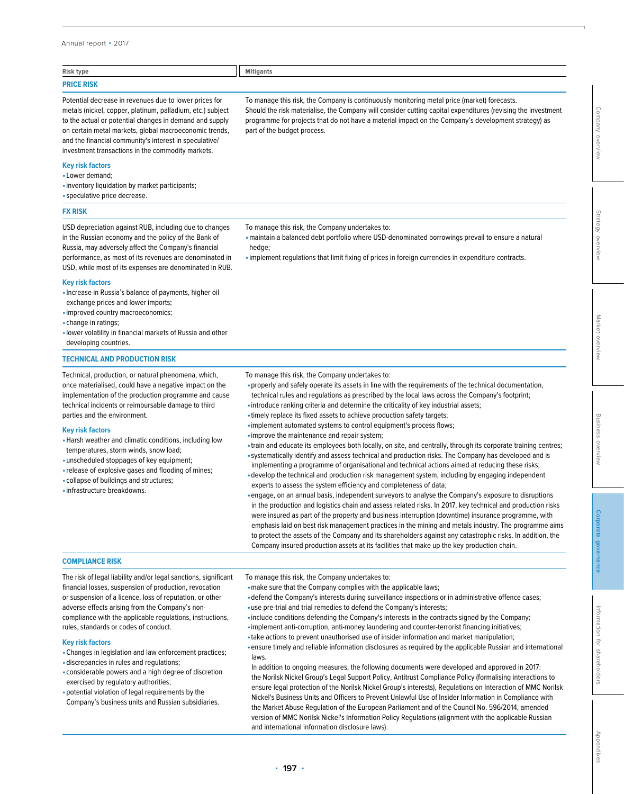### Annual report • 2017

| Risk type                                              | <b>Mitigants</b>                                                                            |
|--------------------------------------------------------|---------------------------------------------------------------------------------------------|
| <b>PRICE RISK</b>                                      |                                                                                             |
| Potential decrease in revenues due to lower prices for | To manage this risk, the Company is continuously monitoring metal price (market) forecasts. |

part of the budget process.

Potential decrease in revenues due to lower prices for metals (nickel, copper, platinum, palladium, etc.) subject to the actual or potential changes in demand and supply on certain metal markets, global macroeconomic trends, and the financial community's interest in speculative/ investment transactions in the commodity markets.

## **Key risk factors**

- •Lower demand;
- •inventory liquidation by market participants;
- •speculative price decrease.

## **FX RISK**

USD depreciation against RUB, including due to changes in the Russian economy and the policy of the Bank of Russia, may adversely affect the Company's financial performance, as most of its revenues are denominated in USD, while most of its expenses are denominated in RUB.

### **Key risk factors**

- •Increase in Russia's balance of payments, higher oil exchange prices and lower imports;
- •improved country macroeconomics;
- •change in ratings;
- •lower volatility in financial markets of Russia and other developing countries.

#### **TECHNICAL AND PRODUCTION RISK**

Technical, production, or natural phenomena, which, once materialised, could have a negative impact on the implementation of the production programme and cause technical incidents or reimbursable damage to third parties and the environment.

#### **Key risk factors**

- •Harsh weather and climatic conditions, including low temperatures, storm winds, snow load;
- •unscheduled stoppages of key equipment;
- •release of explosive gases and flooding of mines;
- •collapse of buildings and structures;
- •infrastructure breakdowns.

To manage this risk, the Company undertakes to:

•maintain a balanced debt portfolio where USD-denominated borrowings prevail to ensure a natural hedge;

Should the risk materialise, the Company will consider cutting capital expenditures (revising the investment programme for projects that do not have a material impact on the Company's development strategy) as

•implement regulations that limit fixing of prices in foreign currencies in expenditure contracts.

- To manage this risk, the Company undertakes to:
- •properly and safely operate its assets in line with the requirements of the technical documentation, technical rules and regulations as prescribed by the local laws across the Company's footprint;
- •introduce ranking criteria and determine the criticality of key industrial assets;
- •timely replace its fixed assets to achieve production safety targets;
- •implement automated systems to control equipment's process flows;
- •improve the maintenance and repair system;
- •train and educate its employees both locally, on site, and centrally, through its corporate training centres;
- •systematically identify and assess technical and production risks. The Company has developed and is implementing a programme of organisational and technical actions aimed at reducing these risks;
- •develop the technical and production risk management system, including by engaging independent
- experts to assess the system efficiency and completeness of data;
- •engage, on an annual basis, independent surveyors to analyse the Company's exposure to disruptions in the production and logistics chain and assess related risks. In 2017, key technical and production risks were insured as part of the property and business interruption (downtime) insurance programme, with emphasis laid on best risk management practices in the mining and metals industry. The programme aims to protect the assets of the Company and its shareholders against any catastrophic risks. In addition, the Company insured production assets at its facilities that make up the key production chain.

## **COMPLIANCE RISK**

The risk of legal liability and/or legal sanctions, significant financial losses, suspension of production, revocation or suspension of a licence, loss of reputation, or other adverse effects arising from the Company's noncompliance with the applicable regulations, instructions, rules, standards or codes of conduct.

## **Key risk factors**

- •Сhanges in legislation and law enforcement practices;
- •discrepancies in rules and regulations;
- •considerable powers and a high degree of discretion exercised by regulatory authorities;
- •potential violation of legal requirements by the Company's business units and Russian subsidiaries.

To manage this risk, the Company undertakes to:

- •make sure that the Company complies with the applicable laws;
- •defend the Company's interests during surveillance inspections or in administrative offence cases;
- •use pre-trial and trial remedies to defend the Company's interests;
- •include conditions defending the Company's interests in the contracts signed by the Company;
- •implement anti-corruption, anti-money laundering and counter-terrorist financing initiatives; •take actions to prevent unauthorised use of insider information and market manipulation;
- •ensure timely and reliable information disclosures as required by the applicable Russian and international laws.

In addition to ongoing measures, the following documents were developed and approved in 2017: the Norilsk Nickel Group's Legal Support Policy, Antitrust Compliance Policy (formalising interactions to ensure legal protection of the Norilsk Nickel Group's interests), Regulations on Interaction of MMC Norilsk Nickel's Business Units and Officers to Prevent Unlawful Use of Insider Information in Compliance with the Market Abuse Regulation of the European Parliament and of the Council No. 596/2014, amended version of MMC Norilsk Nickel's Information Policy Regulations (alignment with the applicable Russian and international information disclosure laws).

[Appendixes](#page--1-0)

dpendixe

**[Corporate governance](#page--1-0)**